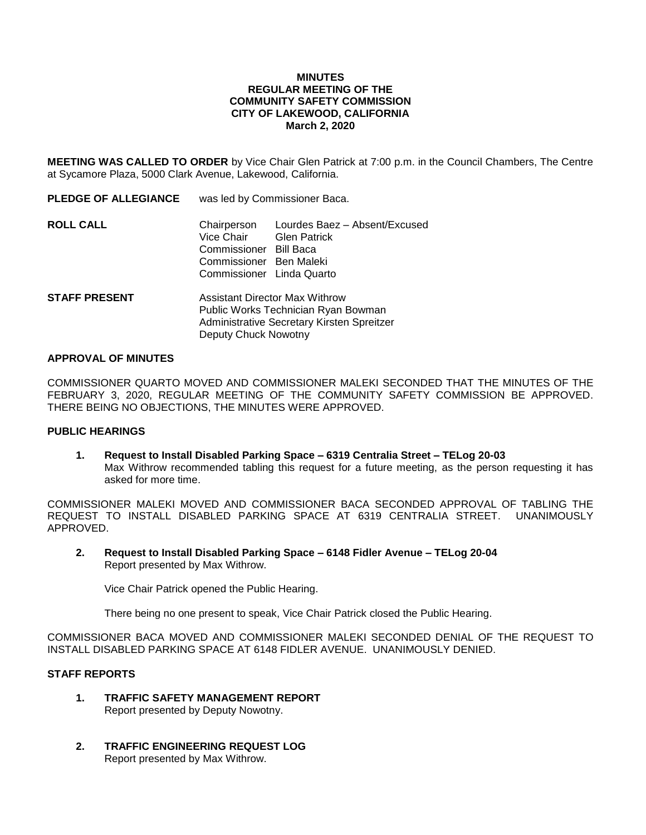### **MINUTES REGULAR MEETING OF THE COMMUNITY SAFETY COMMISSION CITY OF LAKEWOOD, CALIFORNIA March 2, 2020**

**MEETING WAS CALLED TO ORDER** by Vice Chair Glen Patrick at 7:00 p.m. in the Council Chambers, The Centre at Sycamore Plaza, 5000 Clark Avenue, Lakewood, California.

| <b>PLEDGE OF ALLEGIANCE</b> | was led by Commissioner Baca.                                                                                              |                                                                   |
|-----------------------------|----------------------------------------------------------------------------------------------------------------------------|-------------------------------------------------------------------|
| <b>ROLL CALL</b>            | Chairperson<br>Vice Chair<br>Commissioner<br>Commissioner Ben Maleki<br>Commissioner Linda Quarto                          | Lourdes Baez - Absent/Excused<br><b>Glen Patrick</b><br>Bill Baca |
| <b>STAFF PRESENT</b>        | <b>Assistant Director Max Withrow</b><br>Public Works Technician Ryan Bowman<br>Administrative Secretary Kirsten Spreitzer |                                                                   |

Deputy Chuck Nowotny

#### **APPROVAL OF MINUTES**

COMMISSIONER QUARTO MOVED AND COMMISSIONER MALEKI SECONDED THAT THE MINUTES OF THE FEBRUARY 3, 2020, REGULAR MEETING OF THE COMMUNITY SAFETY COMMISSION BE APPROVED. THERE BEING NO OBJECTIONS, THE MINUTES WERE APPROVED.

### **PUBLIC HEARINGS**

**1. Request to Install Disabled Parking Space – 6319 Centralia Street – TELog 20-03** Max Withrow recommended tabling this request for a future meeting, as the person requesting it has asked for more time.

COMMISSIONER MALEKI MOVED AND COMMISSIONER BACA SECONDED APPROVAL OF TABLING THE REQUEST TO INSTALL DISABLED PARKING SPACE AT 6319 CENTRALIA STREET. UNANIMOUSLY APPROVED.

**2. Request to Install Disabled Parking Space – 6148 Fidler Avenue – TELog 20-04** Report presented by Max Withrow.

Vice Chair Patrick opened the Public Hearing.

There being no one present to speak, Vice Chair Patrick closed the Public Hearing.

COMMISSIONER BACA MOVED AND COMMISSIONER MALEKI SECONDED DENIAL OF THE REQUEST TO INSTALL DISABLED PARKING SPACE AT 6148 FIDLER AVENUE. UNANIMOUSLY DENIED.

## **STAFF REPORTS**

- **1. TRAFFIC SAFETY MANAGEMENT REPORT** Report presented by Deputy Nowotny.
- **2. TRAFFIC ENGINEERING REQUEST LOG** Report presented by Max Withrow.